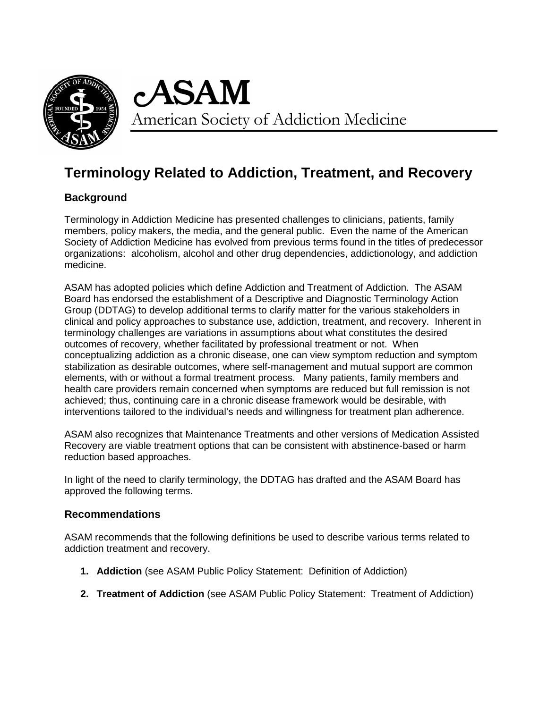

cASAM American Society of Addiction Medicine

# **Terminology Related to Addiction, Treatment, and Recovery**

# **Background**

Terminology in Addiction Medicine has presented challenges to clinicians, patients, family members, policy makers, the media, and the general public. Even the name of the American Society of Addiction Medicine has evolved from previous terms found in the titles of predecessor organizations: alcoholism, alcohol and other drug dependencies, addictionology, and addiction medicine.

ASAM has adopted policies which define Addiction and Treatment of Addiction. The ASAM Board has endorsed the establishment of a Descriptive and Diagnostic Terminology Action Group (DDTAG) to develop additional terms to clarify matter for the various stakeholders in clinical and policy approaches to substance use, addiction, treatment, and recovery. Inherent in terminology challenges are variations in assumptions about what constitutes the desired outcomes of recovery, whether facilitated by professional treatment or not. When conceptualizing addiction as a chronic disease, one can view symptom reduction and symptom stabilization as desirable outcomes, where self-management and mutual support are common elements, with or without a formal treatment process. Many patients, family members and health care providers remain concerned when symptoms are reduced but full remission is not achieved; thus, continuing care in a chronic disease framework would be desirable, with interventions tailored to the individual's needs and willingness for treatment plan adherence.

ASAM also recognizes that Maintenance Treatments and other versions of Medication Assisted Recovery are viable treatment options that can be consistent with abstinence-based or harm reduction based approaches.

In light of the need to clarify terminology, the DDTAG has drafted and the ASAM Board has approved the following terms.

# **Recommendations**

ASAM recommends that the following definitions be used to describe various terms related to addiction treatment and recovery.

- **1. Addiction** (see ASAM Public Policy Statement: Definition of Addiction)
- **2. Treatment of Addiction** (see ASAM Public Policy Statement: Treatment of Addiction)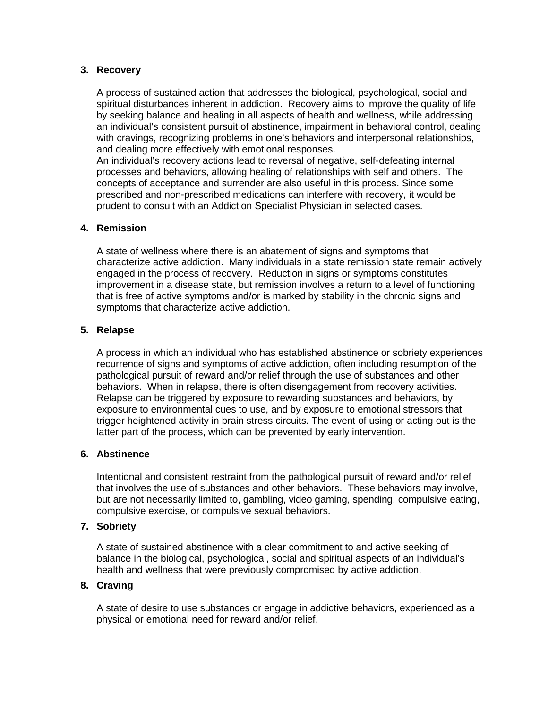# **3. Recovery**

A process of sustained action that addresses the biological, psychological, social and spiritual disturbances inherent in addiction. Recovery aims to improve the quality of life by seeking balance and healing in all aspects of health and wellness, while addressing an individual's consistent pursuit of abstinence, impairment in behavioral control, dealing with cravings, recognizing problems in one's behaviors and interpersonal relationships, and dealing more effectively with emotional responses.

An individual's recovery actions lead to reversal of negative, self-defeating internal processes and behaviors, allowing healing of relationships with self and others. The concepts of acceptance and surrender are also useful in this process. Since some prescribed and non-prescribed medications can interfere with recovery, it would be prudent to consult with an Addiction Specialist Physician in selected cases.

# **4. Remission**

A state of wellness where there is an abatement of signs and symptoms that characterize active addiction. Many individuals in a state remission state remain actively engaged in the process of recovery. Reduction in signs or symptoms constitutes improvement in a disease state, but remission involves a return to a level of functioning that is free of active symptoms and/or is marked by stability in the chronic signs and symptoms that characterize active addiction.

# **5. Relapse**

A process in which an individual who has established abstinence or sobriety experiences recurrence of signs and symptoms of active addiction, often including resumption of the pathological pursuit of reward and/or relief through the use of substances and other behaviors. When in relapse, there is often disengagement from recovery activities. Relapse can be triggered by exposure to rewarding substances and behaviors, by exposure to environmental cues to use, and by exposure to emotional stressors that trigger heightened activity in brain stress circuits. The event of using or acting out is the latter part of the process, which can be prevented by early intervention.

## **6. Abstinence**

Intentional and consistent restraint from the pathological pursuit of reward and/or relief that involves the use of substances and other behaviors. These behaviors may involve, but are not necessarily limited to, gambling, video gaming, spending, compulsive eating, compulsive exercise, or compulsive sexual behaviors.

### **7. Sobriety**

A state of sustained abstinence with a clear commitment to and active seeking of balance in the biological, psychological, social and spiritual aspects of an individual's health and wellness that were previously compromised by active addiction.

## **8. Craving**

A state of desire to use substances or engage in addictive behaviors, experienced as a physical or emotional need for reward and/or relief.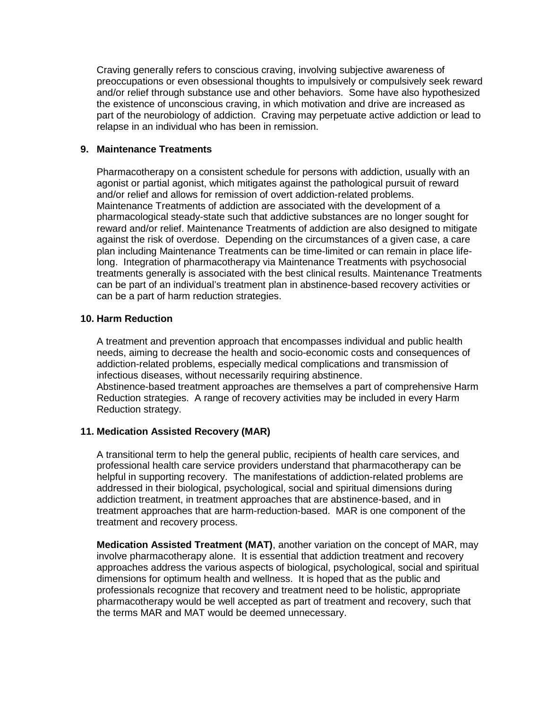Craving generally refers to conscious craving, involving subjective awareness of preoccupations or even obsessional thoughts to impulsively or compulsively seek reward and/or relief through substance use and other behaviors. Some have also hypothesized the existence of unconscious craving, in which motivation and drive are increased as part of the neurobiology of addiction. Craving may perpetuate active addiction or lead to relapse in an individual who has been in remission.

# **9. Maintenance Treatments**

Pharmacotherapy on a consistent schedule for persons with addiction, usually with an agonist or partial agonist, which mitigates against the pathological pursuit of reward and/or relief and allows for remission of overt addiction-related problems. Maintenance Treatments of addiction are associated with the development of a pharmacological steady-state such that addictive substances are no longer sought for reward and/or relief. Maintenance Treatments of addiction are also designed to mitigate against the risk of overdose. Depending on the circumstances of a given case, a care plan including Maintenance Treatments can be time-limited or can remain in place lifelong. Integration of pharmacotherapy via Maintenance Treatments with psychosocial treatments generally is associated with the best clinical results. Maintenance Treatments can be part of an individual's treatment plan in abstinence-based recovery activities or can be a part of harm reduction strategies.

# **10. Harm Reduction**

A treatment and prevention approach that encompasses individual and public health needs, aiming to decrease the health and socio-economic costs and consequences of addiction-related problems, especially medical complications and transmission of infectious diseases, without necessarily requiring abstinence.

Abstinence-based treatment approaches are themselves a part of comprehensive Harm Reduction strategies. A range of recovery activities may be included in every Harm Reduction strategy.

# **11. Medication Assisted Recovery (MAR)**

A transitional term to help the general public, recipients of health care services, and professional health care service providers understand that pharmacotherapy can be helpful in supporting recovery. The manifestations of addiction-related problems are addressed in their biological, psychological, social and spiritual dimensions during addiction treatment, in treatment approaches that are abstinence-based, and in treatment approaches that are harm-reduction-based. MAR is one component of the treatment and recovery process.

**Medication Assisted Treatment (MAT)**, another variation on the concept of MAR, may involve pharmacotherapy alone. It is essential that addiction treatment and recovery approaches address the various aspects of biological, psychological, social and spiritual dimensions for optimum health and wellness. It is hoped that as the public and professionals recognize that recovery and treatment need to be holistic, appropriate pharmacotherapy would be well accepted as part of treatment and recovery, such that the terms MAR and MAT would be deemed unnecessary.